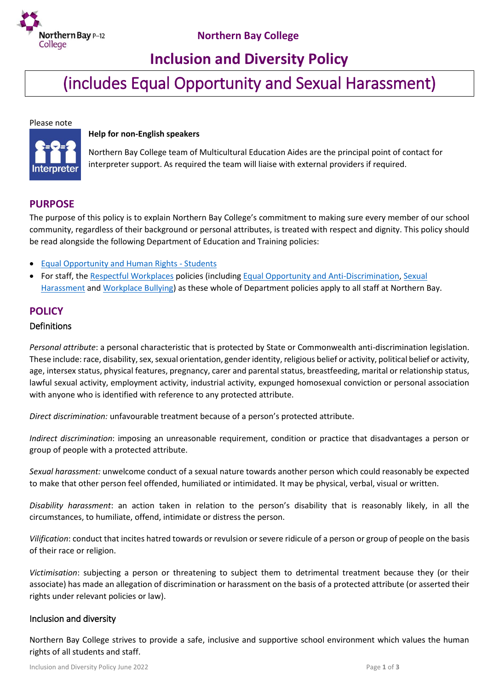

# **Inclusion and Diversity Policy**

(includes Equal Opportunity and Sexual Harassment)

Please note



#### **Help for non-English speakers**

Northern Bay College team of Multicultural Education Aides are the principal point of contact for interpreter support. As required the team will liaise with external providers if required.

## **PURPOSE**

The purpose of this policy is to explain Northern Bay College's commitment to making sure every member of our school community, regardless of their background or personal attributes, is treated with respect and dignity. This policy should be read alongside the following Department of Education and Training policies:

- **[Equal Opportunity and Human Rights -](https://www2.education.vic.gov.au/pal/equal-opportunity-human-rights-students/policy) Students**
- For staff, the [Respectful Workplaces](https://www2.education.vic.gov.au/pal/respectful-workplaces/overview) policies (including [Equal Opportunity and Anti-Discrimination,](https://www2.education.vic.gov.au/pal/equal-opportunity/overview) [Sexual](https://www2.education.vic.gov.au/pal/sexual-harassment/overview)  [Harassment](https://www2.education.vic.gov.au/pal/sexual-harassment/overview) an[d Workplace Bullying\)](https://www2.education.vic.gov.au/pal/workplace-bullying/policy) as these whole of Department policies apply to all staff at Northern Bay.

## **POLICY**

#### Definitions

*Personal attribute*: a personal characteristic that is protected by State or Commonwealth anti-discrimination legislation. These include: race, disability, sex, sexual orientation, gender identity, religious belief or activity, political belief or activity, age, intersex status, physical features, pregnancy, carer and parental status, breastfeeding, marital or relationship status, lawful sexual activity, employment activity, industrial activity, expunged homosexual conviction or personal association with anyone who is identified with reference to any protected attribute.

*Direct discrimination:* unfavourable treatment because of a person's protected attribute.

*Indirect discrimination*: imposing an unreasonable requirement, condition or practice that disadvantages a person or group of people with a protected attribute.

*Sexual harassment:* unwelcome conduct of a sexual nature towards another person which could reasonably be expected to make that other person feel offended, humiliated or intimidated. It may be physical, verbal, visual or written.

*Disability harassment*: an action taken in relation to the person's disability that is reasonably likely, in all the circumstances, to humiliate, offend, intimidate or distress the person.

*Vilification*: conduct that incites hatred towards or revulsion or severe ridicule of a person or group of people on the basis of their race or religion.

*Victimisation*: subjecting a person or threatening to subject them to detrimental treatment because they (or their associate) has made an allegation of discrimination or harassment on the basis of a protected attribute (or asserted their rights under relevant policies or law).

#### Inclusion and diversity

Northern Bay College strives to provide a safe, inclusive and supportive school environment which values the human rights of all students and staff.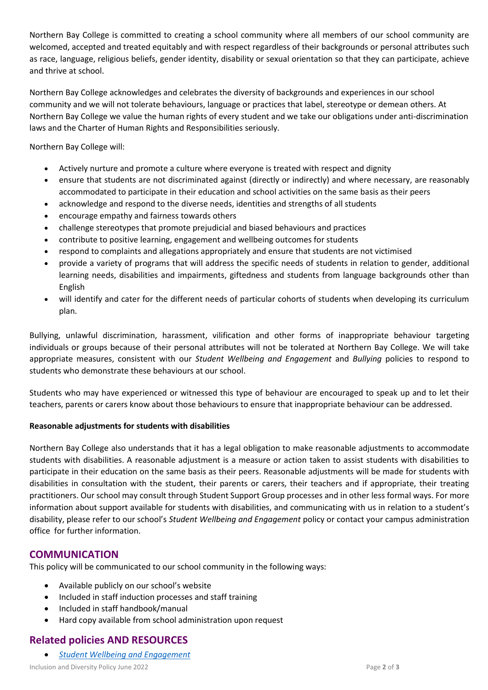Northern Bay College is committed to creating a school community where all members of our school community are welcomed, accepted and treated equitably and with respect regardless of their backgrounds or personal attributes such as race, language, religious beliefs, gender identity, disability or sexual orientation so that they can participate, achieve and thrive at school.

Northern Bay College acknowledges and celebrates the diversity of backgrounds and experiences in our school community and we will not tolerate behaviours, language or practices that label, stereotype or demean others. At Northern Bay College we value the human rights of every student and we take our obligations under anti-discrimination laws and the Charter of Human Rights and Responsibilities seriously.

Northern Bay College will:

- Actively nurture and promote a culture where everyone is treated with respect and dignity
- ensure that students are not discriminated against (directly or indirectly) and where necessary, are reasonably accommodated to participate in their education and school activities on the same basis as their peers
- acknowledge and respond to the diverse needs, identities and strengths of all students
- encourage empathy and fairness towards others
- challenge stereotypes that promote prejudicial and biased behaviours and practices
- contribute to positive learning, engagement and wellbeing outcomes for students
- respond to complaints and allegations appropriately and ensure that students are not victimised
- provide a variety of programs that will address the specific needs of students in relation to gender, additional learning needs, disabilities and impairments, giftedness and students from language backgrounds other than English
- will identify and cater for the different needs of particular cohorts of students when developing its curriculum plan.

Bullying, unlawful discrimination, harassment, vilification and other forms of inappropriate behaviour targeting individuals or groups because of their personal attributes will not be tolerated at Northern Bay College. We will take appropriate measures, consistent with our *Student Wellbeing and Engagement* and *Bullying* policies to respond to students who demonstrate these behaviours at our school.

Students who may have experienced or witnessed this type of behaviour are encouraged to speak up and to let their teachers, parents or carers know about those behaviours to ensure that inappropriate behaviour can be addressed.

## **Reasonable adjustments for students with disabilities**

Northern Bay College also understands that it has a legal obligation to make reasonable adjustments to accommodate students with disabilities. A reasonable adjustment is a measure or action taken to assist students with disabilities to participate in their education on the same basis as their peers. Reasonable adjustments will be made for students with disabilities in consultation with the student, their parents or carers, their teachers and if appropriate, their treating practitioners. Our school may consult through Student Support Group processes and in other less formal ways. For more information about support available for students with disabilities, and communicating with us in relation to a student's disability, please refer to our school's *Student Wellbeing and Engagement* policy or contact your campus administration office for further information.

# **COMMUNICATION**

This policy will be communicated to our school community in the following ways:

- Available publicly on our school's website
- Included in staff induction processes and staff training
- Included in staff handbook/manual
- Hard copy available from school administration upon request

# **Related policies AND RESOURCES**

*[Student Wellbeing and Engagement](https://www.nbc.vic.edu.au/uploads/PDFS/STUDENT-WELLBEING-AND-ENGAGEMENT-POLICY.pdf)*